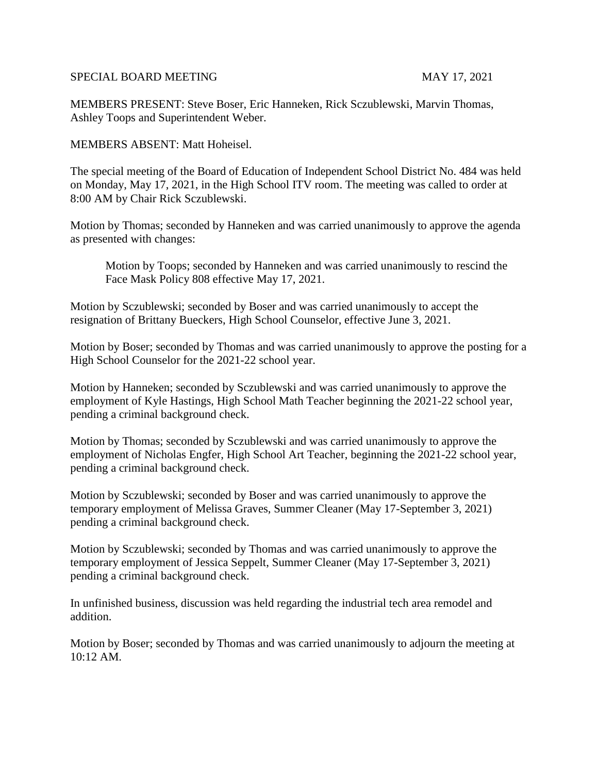## SPECIAL BOARD MEETING MAY 17, 2021

MEMBERS PRESENT: Steve Boser, Eric Hanneken, Rick Sczublewski, Marvin Thomas, Ashley Toops and Superintendent Weber.

MEMBERS ABSENT: Matt Hoheisel.

The special meeting of the Board of Education of Independent School District No. 484 was held on Monday, May 17, 2021, in the High School ITV room. The meeting was called to order at 8:00 AM by Chair Rick Sczublewski.

Motion by Thomas; seconded by Hanneken and was carried unanimously to approve the agenda as presented with changes:

Motion by Toops; seconded by Hanneken and was carried unanimously to rescind the Face Mask Policy 808 effective May 17, 2021.

Motion by Sczublewski; seconded by Boser and was carried unanimously to accept the resignation of Brittany Bueckers, High School Counselor, effective June 3, 2021.

Motion by Boser; seconded by Thomas and was carried unanimously to approve the posting for a High School Counselor for the 2021-22 school year.

Motion by Hanneken; seconded by Sczublewski and was carried unanimously to approve the employment of Kyle Hastings, High School Math Teacher beginning the 2021-22 school year, pending a criminal background check.

Motion by Thomas; seconded by Sczublewski and was carried unanimously to approve the employment of Nicholas Engfer, High School Art Teacher, beginning the 2021-22 school year, pending a criminal background check.

Motion by Sczublewski; seconded by Boser and was carried unanimously to approve the temporary employment of Melissa Graves, Summer Cleaner (May 17-September 3, 2021) pending a criminal background check.

Motion by Sczublewski; seconded by Thomas and was carried unanimously to approve the temporary employment of Jessica Seppelt, Summer Cleaner (May 17-September 3, 2021) pending a criminal background check.

In unfinished business, discussion was held regarding the industrial tech area remodel and addition.

Motion by Boser; seconded by Thomas and was carried unanimously to adjourn the meeting at 10:12 AM.